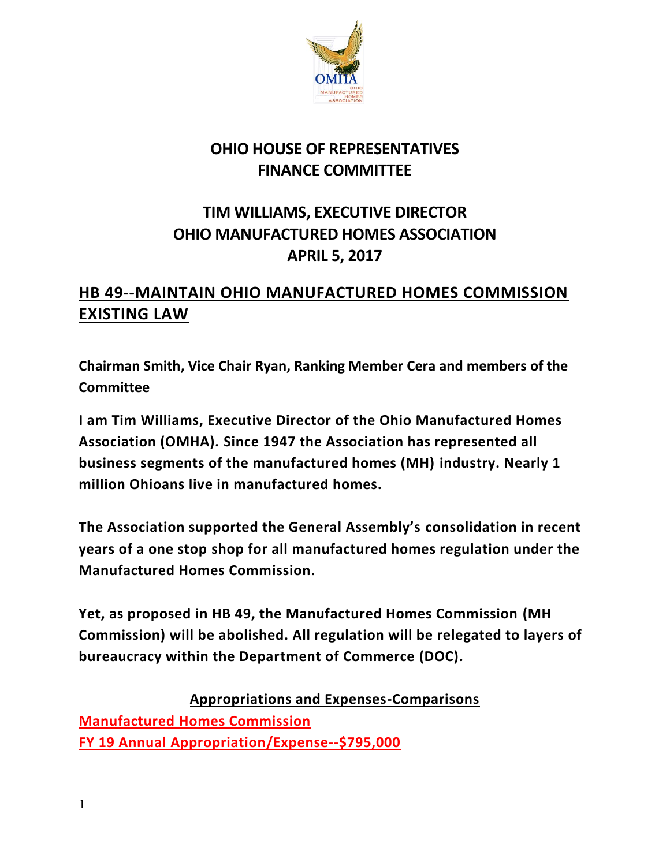

## **OHIO HOUSE OF REPRESENTATIVES FINANCE COMMITTEE**

## **TIM WILLIAMS, EXECUTIVE DIRECTOR OHIO MANUFACTURED HOMES ASSOCIATION APRIL 5, 2017**

## **HB 49--MAINTAIN OHIO MANUFACTURED HOMES COMMISSION EXISTING LAW**

**Chairman Smith, Vice Chair Ryan, Ranking Member Cera and members of the Committee**

**I am Tim Williams, Executive Director of the Ohio Manufactured Homes Association (OMHA). Since 1947 the Association has represented all business segments of the manufactured homes (MH) industry. Nearly 1 million Ohioans live in manufactured homes.**

**The Association supported the General Assembly's consolidation in recent years of a one stop shop for all manufactured homes regulation under the Manufactured Homes Commission.** 

**Yet, as proposed in HB 49, the Manufactured Homes Commission (MH Commission) will be abolished. All regulation will be relegated to layers of bureaucracy within the Department of Commerce (DOC).** 

**Appropriations and Expenses-Comparisons Manufactured Homes Commission FY 19 Annual Appropriation/Expense--\$795,000**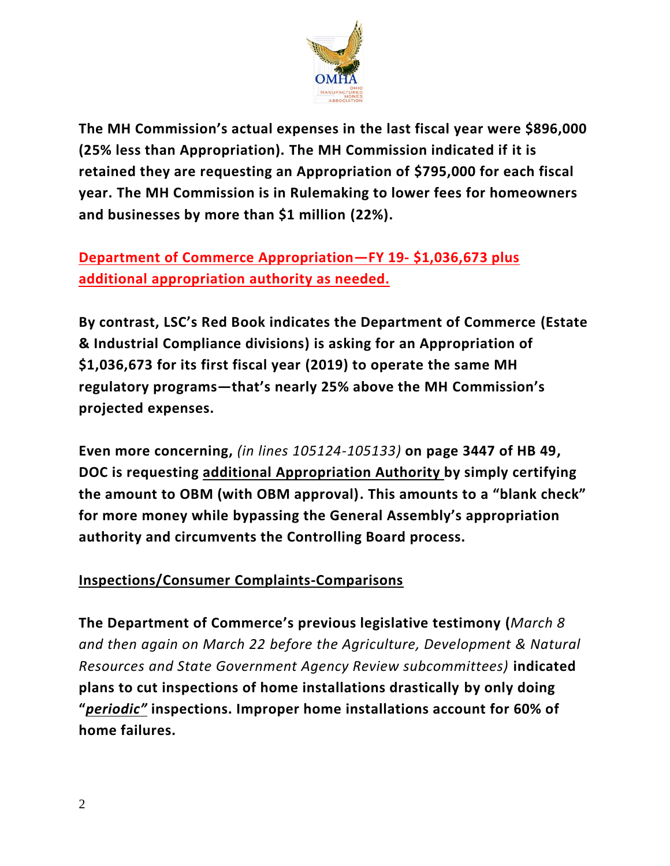

**The MH Commission's actual expenses in the last fiscal year were \$896,000 (25% less than Appropriation). The MH Commission indicated if it is retained they are requesting an Appropriation of \$795,000 for each fiscal year. The MH Commission is in Rulemaking to lower fees for homeowners and businesses by more than \$1 million (22%).**

**Department of Commerce Appropriation—FY 19- \$1,036,673 plus additional appropriation authority as needed.**

**By contrast, LSC's Red Book indicates the Department of Commerce (Estate & Industrial Compliance divisions) is asking for an Appropriation of \$1,036,673 for its first fiscal year (2019) to operate the same MH regulatory programs—that's nearly 25% above the MH Commission's projected expenses.**

**Even more concerning,** *(in lines 105124-105133)* **on page 3447 of HB 49, DOC is requesting additional Appropriation Authority by simply certifying the amount to OBM (with OBM approval). This amounts to a "blank check" for more money while bypassing the General Assembly's appropriation authority and circumvents the Controlling Board process.**

## **Inspections/Consumer Complaints-Comparisons**

**The Department of Commerce's previous legislative testimony (***March 8 and then again on March 22 before the Agriculture, Development & Natural Resources and State Government Agency Review subcommittees)* **indicated plans to cut inspections of home installations drastically by only doing "***periodic"* **inspections. Improper home installations account for 60% of home failures.**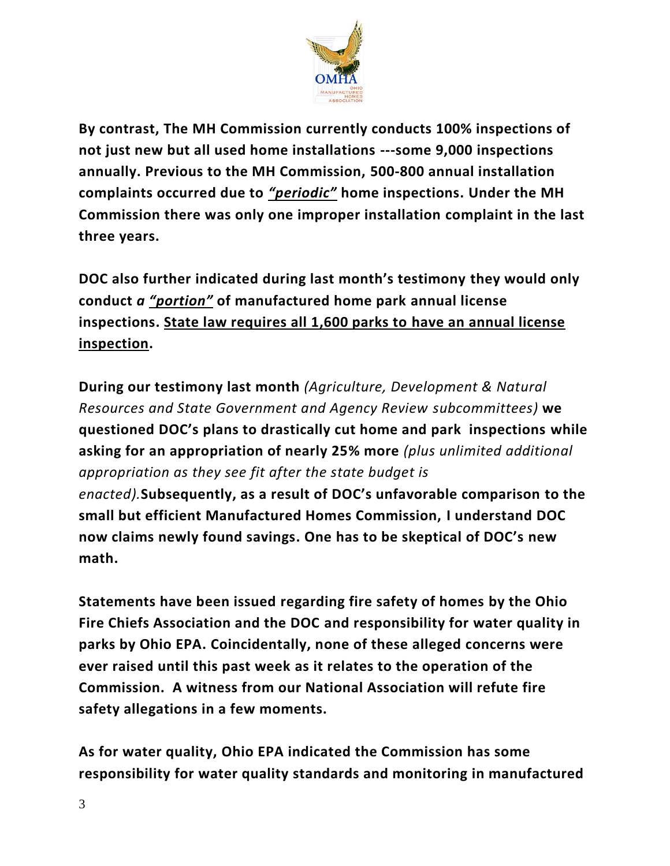

**By contrast, The MH Commission currently conducts 100% inspections of not just new but all used home installations ---some 9,000 inspections annually. Previous to the MH Commission, 500-800 annual installation complaints occurred due to** *"periodic"* **home inspections. Under the MH Commission there was only one improper installation complaint in the last three years.** 

**DOC also further indicated during last month's testimony they would only conduct** *a "portion"* **of manufactured home park annual license inspections. State law requires all 1,600 parks to have an annual license inspection.**

**During our testimony last month** *(Agriculture, Development & Natural Resources and State Government and Agency Review subcommittees)* **we questioned DOC's plans to drastically cut home and park inspections while asking for an appropriation of nearly 25% more** *(plus unlimited additional appropriation as they see fit after the state budget is enacted).***Subsequently, as a result of DOC's unfavorable comparison to the small but efficient Manufactured Homes Commission, I understand DOC now claims newly found savings. One has to be skeptical of DOC's new math.**

**Statements have been issued regarding fire safety of homes by the Ohio Fire Chiefs Association and the DOC and responsibility for water quality in parks by Ohio EPA. Coincidentally, none of these alleged concerns were ever raised until this past week as it relates to the operation of the Commission. A witness from our National Association will refute fire safety allegations in a few moments.** 

**As for water quality, Ohio EPA indicated the Commission has some responsibility for water quality standards and monitoring in manufactured**